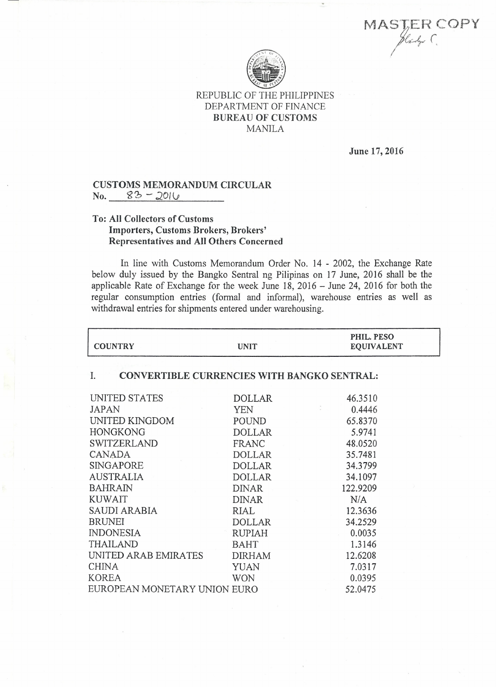MAST:Ef~ *covv*  $SifERC$ 



## REPUBLIC OF THE PHILIPPINES DEPARTMENT OF FINANCE BUREAU OF CUSTOMS MANILA

June 17,2016

## CUSTOMS MEMORANDUM CIRCULAR<br>No  $83 - 201(j)$  $No. 83 - 2016$

## To: All Collectors of Customs Importers, Customs Brokers, Brokers' Representatives and All Others Concerned

In line with Customs Memorandum Order No. 14 - 2002, the Exchange Rate below duly issued by the Bangko Sentral ng Pilipinas on 17 June, 2016 shall be the applicable Rate of Exchange for the week June  $18$ , 2016 - June 24, 2016 for both the regular consumption entries (formal and informal), warehouse entries as well as withdrawal entries for shipments entered under warehousing.

| <b>COUNTRY</b>                                           | <b>UNIT</b>   | PHIL. PESO<br><b>EQUIVALENT</b> |  |
|----------------------------------------------------------|---------------|---------------------------------|--|
| <b>CONVERTIBLE CURRENCIES WITH BANGKO SENTRAL:</b><br>Ι. |               |                                 |  |
| UNITED STATES                                            | <b>DOLLAR</b> | 46.3510                         |  |
| <b>JAPAN</b>                                             | YEN           | 0.4446                          |  |
| UNITED KINGDOM                                           | POUND         | 65.8370                         |  |
| <b>HONGKONG</b>                                          | <b>DOLLAR</b> | 5.9741                          |  |
| <b>SWITZERLAND</b>                                       | FRANC         | 48.0520                         |  |
| CANADA                                                   | <b>DOLLAR</b> | 35.7481                         |  |
| SINGAPORE                                                | <b>DOLLAR</b> | 34.3799                         |  |
| <b>AUSTRALIA</b>                                         | <b>DOLLAR</b> | 34.1097                         |  |
| <b>BAHRAIN</b>                                           | <b>DINAR</b>  | 122.9209                        |  |
| <b>KUWAIT</b>                                            | <b>DINAR</b>  | N/A                             |  |
| SAUDI ARABIA                                             | RIAL          | 12.3636                         |  |
| <b>BRUNEI</b>                                            | <b>DOLLAR</b> | 34.2529                         |  |
| <b>INDONESIA</b>                                         | <b>RUPIAH</b> | 0.0035                          |  |
| <b>THAILAND</b>                                          | <b>BAHT</b>   | 1.3146                          |  |
| UNITED ARAB EMIRATES                                     | <b>DIRHAM</b> | 12.6208                         |  |
| <b>CHINA</b>                                             | YUAN          | 7.0317                          |  |
| <b>KOREA</b>                                             | <b>WON</b>    | 0.0395                          |  |
| EUROPEAN MONETARY UNION EURO                             |               | 52,0475                         |  |